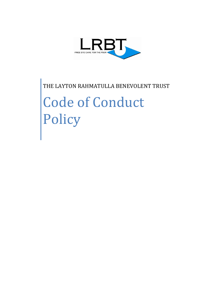

THE LAYTON RAHMATULLA BENEVOLENT TRUST Code of Conduct Policy